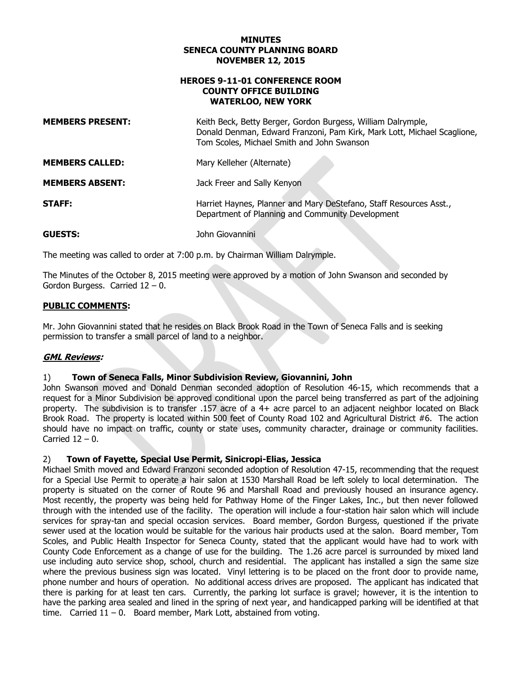### **NOVEMBER 12, 2015 MINUTES SENECA COUNTY PLANNING BOARD**

#### **HEROES 9-11-01 CONFERENCE ROOM WATERLOO, NEW YORK COUNTY OFFICE BUILDING**

| <b>MEMBERS PRESENT:</b> | Keith Beck, Betty Berger, Gordon Burgess, William Dalrymple,<br>Donald Denman, Edward Franzoni, Pam Kirk, Mark Lott, Michael Scaglione,<br>Tom Scoles, Michael Smith and John Swanson |
|-------------------------|---------------------------------------------------------------------------------------------------------------------------------------------------------------------------------------|
| <b>MEMBERS CALLED:</b>  | Mary Kelleher (Alternate)                                                                                                                                                             |
| <b>MEMBERS ABSENT:</b>  | Jack Freer and Sally Kenyon                                                                                                                                                           |
| STAFF:                  | Harriet Haynes, Planner and Mary DeStefano, Staff Resources Asst.,<br>Department of Planning and Community Development                                                                |
| GUESTS:                 | John Giovannini                                                                                                                                                                       |

The meeting was called to order at 7:00 p.m. by Chairman William Dalrymple.

 The Minutes of the October 8, 2015 meeting were approved by a motion of John Swanson and seconded by Gordon Burgess. Carried 12 – 0.

# **PUBLIC COMMENTS:**

Mr. John Giovannini stated that he resides on Black Brook Road in the Town of Seneca Falls and is seeking permission to transfer a small parcel of land to a neighbor.

# **GML Reviews:**

### 1) **Town of Seneca Falls, Minor Subdivision Review, Giovannini, John**

 John Swanson moved and Donald Denman seconded adoption of Resolution 46-15, which recommends that a request for a Minor Subdivision be approved conditional upon the parcel being transferred as part of the adjoining property. The subdivision is to transfer .157 acre of a 4+ acre parcel to an adjacent neighbor located on Black Brook Road. The property is located within 500 feet of County Road 102 and Agricultural District #6. The action should have no impact on traffic, county or state uses, community character, drainage or community facilities. Carried 12 – 0.

#### $2)$ 2) **Town of Fayette, Special Use Permit, Sinicropi-Elias, Jessica**

 Michael Smith moved and Edward Franzoni seconded adoption of Resolution 47-15, recommending that the request for a Special Use Permit to operate a hair salon at 1530 Marshall Road be left solely to local determination. The property is situated on the corner of Route 96 and Marshall Road and previously housed an insurance agency. Most recently, the property was being held for Pathway Home of the Finger Lakes, Inc., but then never followed through with the intended use of the facility. The operation will include a four-station hair salon which will include services for spray-tan and special occasion services. Board member, Gordon Burgess, questioned if the private sewer used at the location would be suitable for the various hair products used at the salon. Board member, Tom Scoles, and Public Health Inspector for Seneca County, stated that the applicant would have had to work with County Code Enforcement as a change of use for the building. The 1.26 acre parcel is surrounded by mixed land use including auto service shop, school, church and residential. The applicant has installed a sign the same size where the previous business sign was located. Vinyl lettering is to be placed on the front door to provide name, phone number and hours of operation. No additional access drives are proposed. The applicant has indicated that there is parking for at least ten cars. Currently, the parking lot surface is gravel; however, it is the intention to have the parking area sealed and lined in the spring of next year, and handicapped parking will be identified at that time. Carried 11 – 0. Board member, Mark Lott, abstained from voting.